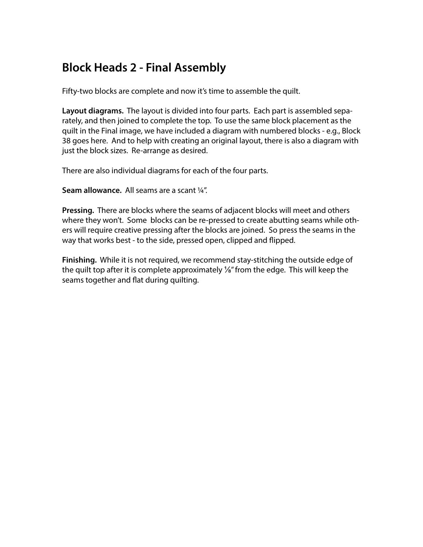# **Block Heads 2 - Final Assembly**

Fifty-two blocks are complete and now it's time to assemble the quilt.

**Layout diagrams.** The layout is divided into four parts. Each part is assembled separately, and then joined to complete the top. To use the same block placement as the quilt in the Final image, we have included a diagram with numbered blocks - e.g., Block 38 goes here. And to help with creating an original layout, there is also a diagram with just the block sizes. Re-arrange as desired.

There are also individual diagrams for each of the four parts.

**Seam allowance.** All seams are a scant ¼".

**Pressing.** There are blocks where the seams of adjacent blocks will meet and others where they won't. Some blocks can be re-pressed to create abutting seams while others will require creative pressing after the blocks are joined. So press the seams in the way that works best - to the side, pressed open, clipped and flipped.

**Finishing.** While it is not required, we recommend stay-stitching the outside edge of the quilt top after it is complete approximately ⅛" from the edge. This will keep the seams together and flat during quilting.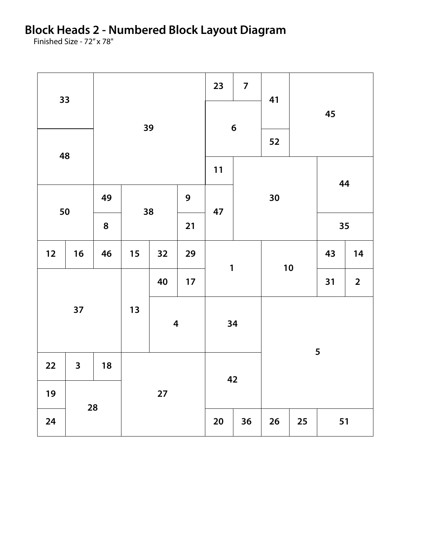**Block Heads 2 - Numbered Block Layout Diagram**

Finished Size - 72" x 78"

| 33       |                         |         |                         |    |                  | 23           | $\overline{7}$ | 41     |    |                         |    |  |
|----------|-------------------------|---------|-------------------------|----|------------------|--------------|----------------|--------|----|-------------------------|----|--|
|          |                         |         | 39                      |    |                  | 6            |                |        |    | 45                      |    |  |
| 48       |                         |         |                         |    |                  |              |                | 52     |    |                         |    |  |
|          |                         |         |                         |    |                  | $11$         |                |        |    | 44                      |    |  |
| 50       |                         | 49      | 38                      |    | $\boldsymbol{9}$ | 47           |                | 30     |    |                         |    |  |
|          |                         | $\bf 8$ |                         |    | 21               |              |                |        |    | 35                      |    |  |
| $12$     | 16                      | 46      | 15                      | 32 | 29               | $\mathbf{1}$ |                | 10     |    | 43                      | 14 |  |
| 37       |                         |         |                         | 17 |                  |              |                |        | 31 | $\overline{\mathbf{2}}$ |    |  |
|          |                         |         | $13$                    |    |                  | 34           |                |        |    |                         |    |  |
|          |                         |         | $\overline{\mathbf{4}}$ |    |                  |              |                |        |    |                         |    |  |
| 22       | $\overline{\mathbf{3}}$ | 18      |                         |    |                  |              |                | 5      |    |                         |    |  |
| 19       |                         |         | 27                      |    | 42               |              |                |        |    |                         |    |  |
| 28<br>24 |                         |         |                         |    | $20\,$           | 36           | 26             | $25\,$ | 51 |                         |    |  |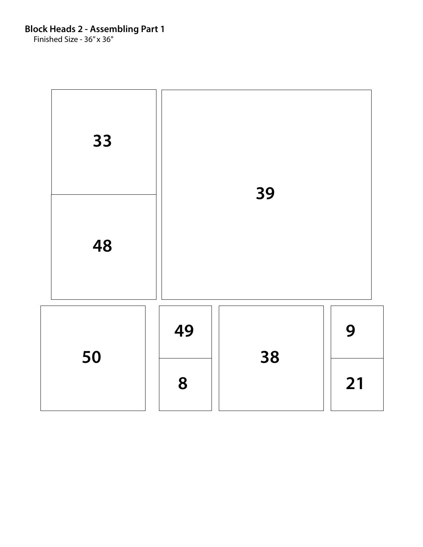Finished Size - 36" x 36"

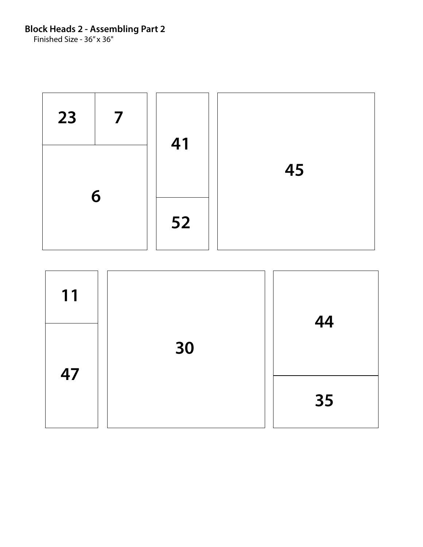Finished Size - 36" x 36"



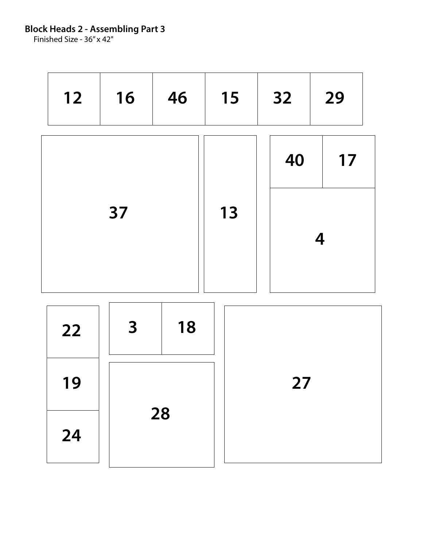Finished Size - 36" x 42"

| $12$ | 16 | 46 | 15 | 32                      | 29 |  |  |  |
|------|----|----|----|-------------------------|----|--|--|--|
|      |    |    |    | 40                      | 17 |  |  |  |
|      | 37 |    | 13 | $\overline{\mathbf{4}}$ |    |  |  |  |
|      |    |    |    |                         |    |  |  |  |
| 22   | 3  | 18 |    |                         |    |  |  |  |
| 19   |    |    | 27 |                         |    |  |  |  |
| 24   |    | 28 |    |                         |    |  |  |  |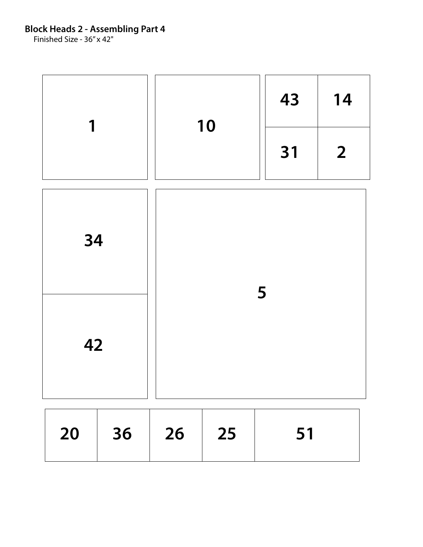Finished Size - 36" x 42"

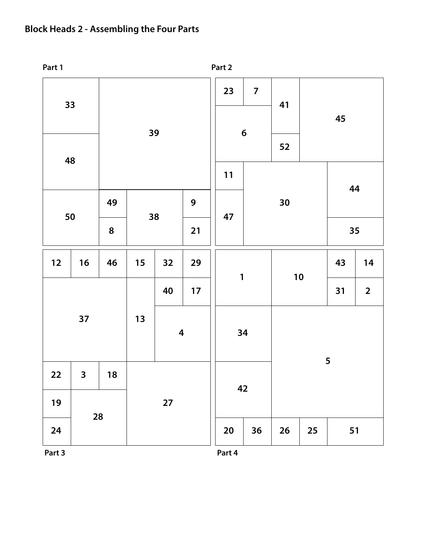## **Block Heads 2 - Assembling the Four Parts**



**Part 3 Part 4**